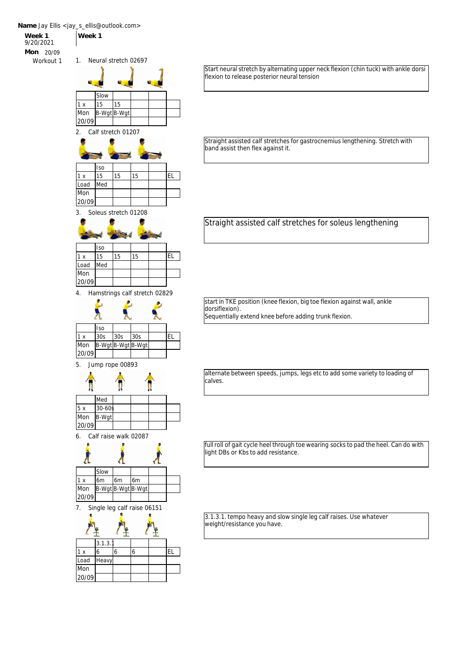

Start neural stretch by alternating upper neck flexion (chin tuck) with ankle dorsi flexion to release posterior neural tension

Straight assisted calf stretches for gastrocnemius lengthening. Stretch with band assist then flex against it.

Straight assisted calf stretches for soleus lengthening

start in TKE position (knee flexion, big toe flexion against wall, ankle dorsiflexion). Sequentially extend knee before adding trunk flexion.

alternate between speeds, jumps, legs etc to add some variety to loading of calves.

full roll of gait cycle heel through toe wearing socks to pad the heel. Can do with light DBs or Kbs to add resistance.

3.1.3.1. tempo heavy and slow single leg calf raises. Use whatever weight/resistance you have.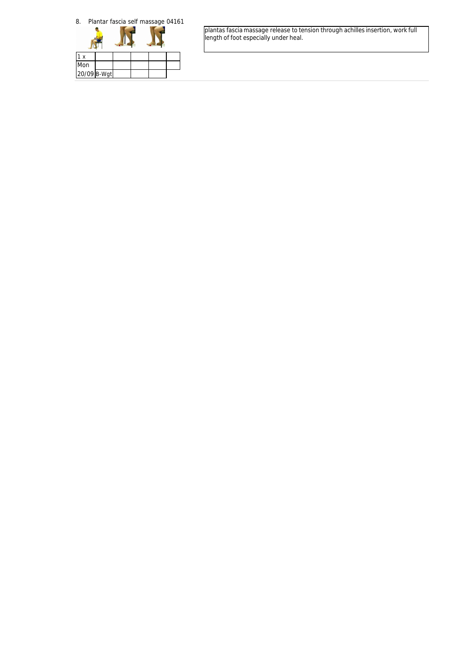



plantas fascia massage release to tension through achilles insertion, work full length of foot especially under heal.